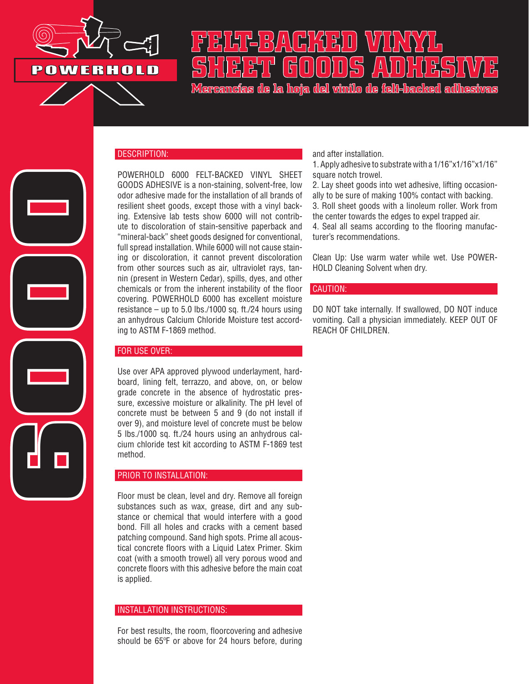

## **FELT-BACKED VINYL SHEET GOODS ADHESIVE**

**Mercancías de la hoja del vinilo de felt-backed adhesivas**

# **6000**

### DESCRIPTION:

POWERHOLD 6000 FELT-BACKED VINYL SHEET GOODS ADHESIVE is a non-staining, solvent-free, low odor adhesive made for the installation of all brands of resilient sheet goods, except those with a vinyl backing. Extensive lab tests show 6000 will not contribute to discoloration of stain-sensitive paperback and "mineral-back" sheet goods designed for conventional, full spread installation. While 6000 will not cause staining or discoloration, it cannot prevent discoloration from other sources such as air, ultraviolet rays, tannin (present in Western Cedar), spills, dyes, and other chemicals or from the inherent instability of the floor covering. POWERHOLD 6000 has excellent moisture resistance – up to 5.0 lbs./1000 sq. ft./24 hours using an anhydrous Calcium Chloride Moisture test according to ASTM F-1869 method.

### FOR USE OVER:

Use over APA approved plywood underlayment, hardboard, lining felt, terrazzo, and above, on, or below grade concrete in the absence of hydrostatic pressure, excessive moisture or alkalinity. The pH level of concrete must be between 5 and 9 (do not install if over 9), and moisture level of concrete must be below 5 lbs./1000 sq. ft./24 hours using an anhydrous calcium chloride test kit according to ASTM F-1869 test method.

### PRIOR TO INSTALLATION:

Floor must be clean, level and dry. Remove all foreign substances such as wax, grease, dirt and any substance or chemical that would interfere with a good bond. Fill all holes and cracks with a cement based patching compound. Sand high spots. Prime all acoustical concrete floors with a Liquid Latex Primer. Skim coat (with a smooth trowel) all very porous wood and concrete floors with this adhesive before the main coat is applied.

### INSTALLATION INSTRUCTIONS:

For best results, the room, floorcovering and adhesive should be 65ºF or above for 24 hours before, during and after installation.

1. Apply adhesive to substrate with a 1/16"x1/16"x1/16" square notch trowel.

2. Lay sheet goods into wet adhesive, lifting occasionally to be sure of making 100% contact with backing. 3. Roll sheet goods with a linoleum roller. Work from the center towards the edges to expel trapped air. 4. Seal all seams according to the flooring manufacturer's recommendations.

Clean Up: Use warm water while wet. Use POWER-HOLD Cleaning Solvent when dry.

### CAUTION:

DO NOT take internally. If swallowed, DO NOT induce vomiting. Call a physician immediately. KEEP OUT OF REACH OF CHILDREN.